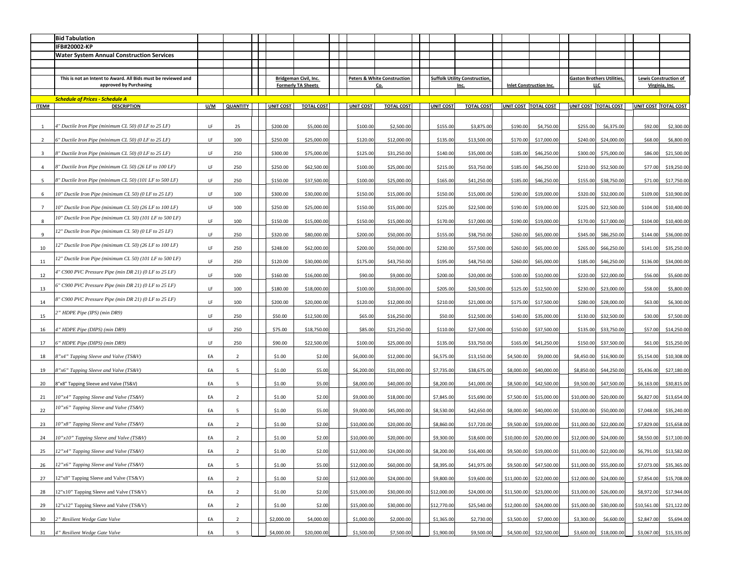|                | <b>Bid Tabulation</b>                                                                   |     |                 |  |                                                           |                   |  |                                                      |                   |  |                                                     |                   |                                |                      |                                                 |                                 |             |                                                |
|----------------|-----------------------------------------------------------------------------------------|-----|-----------------|--|-----------------------------------------------------------|-------------------|--|------------------------------------------------------|-------------------|--|-----------------------------------------------------|-------------------|--------------------------------|----------------------|-------------------------------------------------|---------------------------------|-------------|------------------------------------------------|
|                | IFB#20002-KP                                                                            |     |                 |  |                                                           |                   |  |                                                      |                   |  |                                                     |                   |                                |                      |                                                 |                                 |             |                                                |
|                | <b>Water System Annual Construction Services</b>                                        |     |                 |  |                                                           |                   |  |                                                      |                   |  |                                                     |                   |                                |                      |                                                 |                                 |             |                                                |
|                | This is not an Intent to Award. All Bids must be reviewed and<br>approved by Purchasing |     |                 |  | <b>Bridgeman Civil, Inc.</b><br><b>Formerly TA Sheets</b> |                   |  | <b>Peters &amp; White Construction</b><br><u>Co.</u> |                   |  | <b>Suffolk Utility Construction,</b><br><u>lnc.</u> |                   | <b>Inlet Construction Inc.</b> |                      | <b>Gaston Brothers Utilities,</b><br><u>LLC</u> |                                 |             | <b>Lewis Construction of</b><br>Virginia, Inc. |
|                | <b>Schedule of Prices - Schedule A</b>                                                  |     |                 |  |                                                           |                   |  |                                                      |                   |  |                                                     |                   |                                |                      |                                                 |                                 |             |                                                |
| <b>ITEM#</b>   | <b>DESCRIPTION</b>                                                                      | U/M | <b>QUANTITY</b> |  | <b>UNIT COST</b>                                          | <b>TOTAL COST</b> |  | <b>UNIT COST</b>                                     | <b>TOTAL COST</b> |  | <b>UNIT COST</b>                                    | <b>TOTAL COST</b> |                                | UNIT COST TOTAL COST | UNIT COST   TOTAL COST                          |                                 |             | UNIT COST TOTAL COST                           |
|                | 4" Ductile Iron Pipe (minimum CL 50) (0 LF to 25 LF)                                    | LF. | 25              |  | \$200.00                                                  | \$5,000.00        |  | \$100.00                                             | \$2,500.00        |  | \$155.00                                            | \$3,875.00        | \$190.00                       | \$4,750.00           | \$255.00                                        | \$6,375.00                      | \$92.00     | \$2,300.00                                     |
| -2             | $6"$ Ductile Iron Pipe (minimum CL 50) (0 LF to 25 LF)                                  | LF. | 100             |  | \$250.00                                                  | \$25,000.00       |  | \$120.00                                             | \$12,000.00       |  | \$135.00                                            | \$13,500.00       | \$170.00                       | \$17,000.00          |                                                 | $$240.00$ $$24,000.00$          | \$68.00     | \$6,800.00                                     |
| $\overline{3}$ | 8" Ductile Iron Pipe (minimum CL 50) (0 LF to 25 LF)                                    | LF  | 250             |  | \$300.00                                                  | \$75,000.00       |  | \$125.00                                             | \$31,250.00       |  | \$140.00                                            | \$35,000.00       | \$185.00                       | \$46,250.00          | \$300.00                                        | \$75,000.00                     | \$86.00     | \$21,500.00                                    |
|                | 8" Ductile Iron Pipe (minimum CL 50) (26 LF to 100 LF)                                  | LF. | 250             |  | \$250.00                                                  | \$62,500.00       |  | \$100.00                                             | \$25,000.00       |  | \$215.00                                            | \$53,750.00       | \$185.00                       | \$46,250.00          |                                                 | \$210.00 \$52,500.00            | \$77.00     | \$19,250.00                                    |
| -5             | 8" Ductile Iron Pipe (minimum CL 50) (101 LF to 500 LF)                                 | LF  | 250             |  | \$150.00                                                  | \$37,500.00       |  | \$100.00                                             | \$25,000.00       |  | \$165.00                                            | \$41,250.00       | \$185.00                       | \$46,250.00          |                                                 | \$155.00 \$38,750.00            | \$71.00     | \$17,750.00                                    |
|                | 10" Ductile Iron Pipe (minimum CL 50) (0 LF to 25 LF)                                   | LF. | 100             |  | \$300.00                                                  | \$30,000.00       |  | \$150.00                                             | \$15,000.00       |  | \$150.00                                            | \$15,000.00       | \$190.00                       | \$19,000.00          | \$320.00                                        | \$32,000.00                     | \$109.00    | \$10,900.00                                    |
|                | 10" Ductile Iron Pipe (minimum CL 50) (26 LF to 100 LF)                                 | LF. | 100             |  | \$250.00                                                  | \$25,000.00       |  | \$150.00                                             | \$15,000.00       |  | \$225.00                                            | \$22,500.00       | \$190.00                       | \$19,000.00          |                                                 | \$225.00 \$22,500.00            | \$104.00    | \$10,400.00                                    |
| 8              | 10" Ductile Iron Pipe (minimum CL 50) (101 LF to 500 LF)                                | LF  | 100             |  | \$150.00                                                  | \$15,000.00       |  | \$150.00                                             | \$15,000.00       |  | \$170.00                                            | \$17,000.00       | \$190.00                       | \$19,000.00          | \$170.00                                        | \$17,000.00                     | \$104.00    | \$10,400.00                                    |
| 9              | 12" Ductile Iron Pipe (minimum CL 50) (0 LF to 25 LF)                                   | LF  | 250             |  | \$320.00                                                  | \$80,000.00       |  | \$200.00                                             | \$50,000.00       |  | \$155.00                                            | \$38,750.00       | \$260.00                       | \$65,000.00          |                                                 | \$345.00 \$86,250.00            | \$144.00    | \$36,000.00                                    |
| 10             | 12" Ductile Iron Pipe (minimum CL 50) (26 LF to 100 LF)                                 | LF  | 250             |  | \$248.00                                                  | \$62,000.00       |  | \$200.00                                             | \$50,000.00       |  | \$230.00                                            | \$57,500.00       | \$260.00                       | \$65,000.00          | \$265.00                                        | \$66,250.00                     | \$141.00    | \$35,250.00                                    |
| 11             | 12" Ductile Iron Pipe (minimum CL 50) (101 LF to 500 LF)                                | LF  | 250             |  | \$120.00                                                  | \$30,000.00       |  | \$175.00                                             | \$43,750.00       |  | \$195.00                                            | \$48,750.00       | \$260.00                       | \$65,000.00          |                                                 | \$185.00 \$46,250.00            | \$136.00    | \$34,000.00                                    |
| 12             | 4" C900 PVC Pressure Pipe (min DR 21) (0 LF to 25 LF)                                   | LF. | 100             |  | \$160.00                                                  | \$16,000.00       |  | \$90.00                                              | \$9,000.00        |  | \$200.00                                            | \$20,000.00       | \$100.00                       | \$10,000.00          | \$220.00                                        | \$22,000.00                     | \$56.00     | \$5,600.00                                     |
| 13             | 6" C900 PVC Pressure Pipe (min DR 21) (0 LF to 25 LF)                                   | LF. | 100             |  | \$180.00                                                  | \$18,000.00       |  | \$100.00                                             | \$10,000.00       |  | \$205.00                                            | \$20,500.00       | \$125.00                       | \$12,500.00          | \$230.00                                        | \$23,000.00                     | \$58.00     | \$5,800.00                                     |
| 14             | 8" C900 PVC Pressure Pipe (min DR 21) (0 LF to 25 LF)                                   | LF  | 100             |  | \$200.00                                                  | \$20,000.00       |  | \$120.00                                             | \$12,000.00       |  | \$210.00                                            | \$21,000.00       | \$175.00                       | \$17,500.00          | \$280.00                                        | \$28,000.00                     | \$63.00     | \$6,300.00                                     |
| 15             | 2" HDPE Pipe (IPS) (min DR9)                                                            | LF  | 250             |  | \$50.00                                                   | \$12,500.00       |  | \$65.00                                              | \$16,250.00       |  | \$50.00                                             | \$12,500.00       | \$140.00                       | \$35,000.00          |                                                 | \$130.00 \$32,500.00            | \$30.00     | \$7,500.00                                     |
| 16             | 4" HDPE Pipe (DIPS) (min DR9)                                                           | LF  | 250             |  | \$75.00                                                   | \$18,750.00       |  | \$85.00                                              | \$21,250.00       |  | \$110.00                                            | \$27,500.00       | \$150.00                       | \$37,500.00          |                                                 | $$135.00$ $$33,750.00$          | \$57.00     | \$14,250.00                                    |
| 17             | 6" HDPE Pipe (DIPS) (min DR9)                                                           | LF  | 250             |  | \$90.00                                                   | \$22,500.00       |  | \$100.00                                             | \$25,000.00       |  | \$135.00                                            | \$33,750.00       | \$165.00                       | \$41,250.00          |                                                 | \$150.00 \$37,500.00            | \$61.00     | \$15,250.00                                    |
| 18             | 8"x4" Tapping Sleeve and Valve (TS&V)                                                   | EA  |                 |  | \$1.00                                                    | \$2.00            |  | \$6,000.00                                           | \$12,000.00       |  | \$6,575.00                                          | \$13,150.00       | \$4,500.00                     | \$9,000.00           | \$8,450.00                                      | \$16,900.00                     | \$5,154.00  | \$10,308.00                                    |
| 19             | 8"x6" Tapping Sleeve and Valve (TS&V)                                                   | EA  |                 |  | \$1.00                                                    | \$5.00            |  | \$6,200.00                                           | \$31,000.00       |  | \$7,735.00                                          | \$38,675.00       | \$8,000.00                     | \$40,000.00          |                                                 | \$8,850.00 \$44,250.00          | \$5,436.00  | \$27,180.00                                    |
| 20             | 8"x8" Tapping Sleeve and Valve (TS&V)                                                   | EA  |                 |  | \$1.00                                                    | \$5.00            |  | \$8,000.00                                           | \$40,000.00       |  | \$8,200.00                                          | \$41,000.00       | \$8,500.00                     | \$42,500.00          |                                                 | \$9,500.00 \$47,500.00          | \$6,163.00  | \$30,815.00                                    |
| 21             | 10"x4" Tapping Sleeve and Valve (TS&V)                                                  | EA  |                 |  | \$1.00                                                    | \$2.00            |  | \$9,000.00                                           | \$18,000.00       |  | \$7,845.00                                          | \$15,690.00       | \$7,500.00                     | \$15,000.00          | \$10,000.00                                     | \$20,000.00                     | \$6,827.00  | \$13,654.00                                    |
| 22             | 10"x6" Tapping Sleeve and Valve (TS&V)                                                  | EA  |                 |  | \$1.00                                                    | \$5.00            |  | \$9,000.00                                           | \$45,000.00       |  | \$8,530.00                                          | \$42,650.00       | \$8,000.00                     | \$40,000.00          | \$10,000.00                                     | \$50,000.00                     | \$7,048.00  | \$35,240.00                                    |
| 23             | 10"x8" Tapping Sleeve and Valve (TS&V)                                                  | EA  |                 |  | \$1.00                                                    | \$2.00            |  | \$10,000.00                                          | \$20,000.00       |  | \$8,860.00                                          | \$17,720.00       | \$9,500.00                     | \$19,000.00          | \$11,000.00                                     | \$22,000.00                     | \$7,829.00  | \$15,658.00                                    |
| 24             | 10"x10" Tapping Sleeve and Valve (TS&V)                                                 | EA  | $\overline{2}$  |  | \$1.00                                                    | \$2.00            |  | \$10,000.00                                          | \$20,000.00       |  | \$9,300.00                                          | \$18,600.00       | \$10,000.00                    | \$20,000.00          | \$12,000.00                                     | \$24,000.00                     | \$8,550.00  | \$17,100.00                                    |
| 25             | $12"x4"$ Tapping Sleeve and Valve (TS&V)                                                | EA  |                 |  | \$1.00                                                    | \$2.00            |  | \$12,000.00                                          | \$24,000.00       |  | \$8,200.00                                          | \$16,400.00       | \$9,500.00                     | \$19,000.00          |                                                 | $\vert$ \$11,000.00 \$22,000.00 |             | $$6,791.00$ $$13,582.00$                       |
| 26             | $12"x6"$ Tapping Sleeve and Valve (TS&V)                                                | EA  |                 |  | \$1.00                                                    | \$5.00            |  | \$12,000.00                                          | \$60,000.00       |  | \$8,395.00                                          | \$41,975.00       | \$9,500.00                     | \$47,500.00          |                                                 | $\vert$ \$11,000.00 \$55,000.00 | \$7,073.00  | \$35,365.00                                    |
| 27             | 12"x8" Tapping Sleeve and Valve (TS&V)                                                  | EA  | $\overline{2}$  |  | \$1.00                                                    | \$2.00            |  | \$12,000.00                                          | \$24,000.00       |  | \$9,800.00                                          | \$19,600.00       | \$11,000.00                    | \$22,000.00          |                                                 | $$12,000.00$ $$24,000.00$       | \$7,854.00  | \$15,708.00                                    |
| 28             | 12"x10" Tapping Sleeve and Valve (TS&V)                                                 | EA  |                 |  | \$1.00                                                    | \$2.00            |  | \$15,000.00                                          | \$30,000.00       |  | \$12,000.00                                         | \$24,000.00       | \$11,500.00                    | \$23,000.00          | \$13,000.00                                     | \$26,000.00                     | \$8,972.00  | \$17,944.00                                    |
| 29             | 12"x12" Tapping Sleeve and Valve (TS&V)                                                 | EA  |                 |  | \$1.00                                                    | \$2.00            |  | \$15,000.00                                          | \$30,000.00       |  | \$12,770.00                                         | \$25,540.00       | \$12,000.00                    | \$24,000.00          | \$15,000.00                                     | \$30,000.00                     | \$10,561.00 | \$21,122.00                                    |
| 30             | 2" Resilient Wedge Gate Valve                                                           | EA  | $\overline{2}$  |  | \$2,000.00                                                | \$4,000.00        |  | \$1,000.00                                           | \$2,000.00        |  | \$1,365.00                                          | \$2,730.00        | \$3,500.00                     | \$7,000.00           | \$3,300.00                                      | \$6,600.00                      | \$2,847.00  | \$5,694.00                                     |
| 31             | 4" Resilient Wedge Gate Valve                                                           | EA  |                 |  | \$4,000.00                                                | \$20,000.00       |  | \$1,500.00                                           | \$7,500.00        |  | \$1,900.00                                          | \$9,500.00        | \$4,500.00                     | \$22,500.00          |                                                 | $$3,600.00$ $$18,000.00$        |             | $$3,067.00$ $$15,335.00$                       |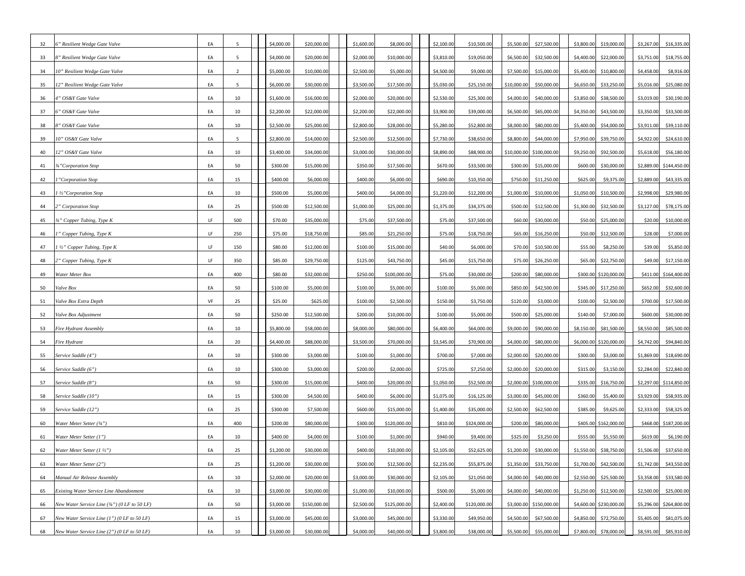| 32 | 6" Resilient Wedge Gate Valve                                    | EA  |                | \$4,000.00 | \$20,000.00  | \$1,600.00 | \$8,000.00   | \$2,100.00 | \$10,500.00  | \$5,500.00  | \$27,500.00             | \$3,800.00 | \$19,000.00              | \$3,267.00 | \$16,335.00              |
|----|------------------------------------------------------------------|-----|----------------|------------|--------------|------------|--------------|------------|--------------|-------------|-------------------------|------------|--------------------------|------------|--------------------------|
| 33 | 8" Resilient Wedge Gate Valve                                    | EA  |                | \$4,000.00 | \$20,000.00  | \$2,000.00 | \$10,000.00  | \$3,810.00 | \$19,050.00  | \$6,500.00  | \$32,500.00             | \$4,400.00 | \$22,000.00              | \$3,751.00 | \$18,755.00              |
| 34 | 10" Resilient Wedge Gate Valve                                   | EA  | $\overline{2}$ | \$5,000.00 | \$10,000.00  | \$2,500.00 | \$5,000.00   | \$4,500.00 | \$9,000.00   | \$7,500.00  | \$15,000.00             |            | \$5,400.00 \$10,800.00   | \$4,458.00 | \$8,916.00               |
| 35 | 12" Resilient Wedge Gate Valve                                   | EA  |                | \$6,000.00 | \$30,000.00  | \$3,500.00 | \$17,500.00  | \$5,030.00 | \$25,150.00  | \$10,000.00 | \$50,000.00             | \$6,650.00 | \$33,250.00              | \$5,016.00 | \$25,080.00              |
| 36 | 4" OS&Y Gate Valve                                               | EA  | 10             | \$1,600.00 | \$16,000.00  | \$2,000.00 | \$20,000.00  | \$2,530.00 | \$25,300.00  | \$4,000.00  | \$40,000.00             | \$3,850.00 | \$38,500.00              | \$3,019.00 | \$30,190.00              |
| 37 | 6" OS&Y Gate Valve                                               | EA  | 10             | \$2,200.00 | \$22,000.00  | \$2,200.00 | \$22,000.00  | \$3,900.00 | \$39,000.00  | \$6,500.00  | \$65,000.00             |            | $$4,350.00$ $$43,500.00$ | \$3,350.00 | \$33,500.00              |
| 38 | 8" OS&Y Gate Valve                                               | EA  | 10             | \$2,500.00 | \$25,000.00  | \$2,800.00 | \$28,000.00  | \$5,280.00 | \$52,800.00  | \$8,000.00  | \$80,000.00             |            | \$5,400.00 \$54,000.00   | \$3,911.00 | \$39,110.00              |
| 39 | 10" OS&Y Gate Valve                                              | EA  |                | \$2,800.00 | \$14,000.00  | \$2,500.00 | \$12,500.00  | \$7,730.00 | \$38,650.00  | \$8,800.00  | \$44,000.00             |            | \$7,950.00 \$39,750.00   | \$4,922.00 | \$24,610.00              |
| 40 | 12" OS&Y Gate Valve                                              | EA  | 10             | \$3,400.00 | \$34,000.00  | \$3,000.00 | \$30,000.00  | \$8,890.00 | \$88,900.00  | \$10,000.00 | \$100,000.00            | \$9,250.00 | \$92,500.00              | \$5,618.00 | \$56,180.00              |
| 41 | $\frac{3}{4}$ "Corporation Stop                                  | EA  | 50             | \$300.00   | \$15,000.00  | \$350.00   | \$17,500.00  | \$670.00   | \$33,500.00  | \$300.00    | \$15,000.00             | \$600.00   | \$30,000.00              |            | \$2,889.00 \$144,450.00  |
| 42 | 1"Corporation Stop                                               | EA  | 15             | \$400.00   | \$6,000.00   | \$400.00   | \$6,000.00   | \$690.00   | \$10,350.00  | \$750.00    | \$11,250.00             | \$625.00   | \$9,375.00               | \$2,889.00 | \$43,335.00              |
| 43 | $1\frac{1}{2}$ "Corporation Stop                                 | EA  | 10             | \$500.00   | \$5,000.00   | \$400.00   | \$4,000.00   | \$1,220.00 | \$12,200.00  | \$1,000.00  | \$10,000.00             | \$1,050.00 | \$10,500.00              | \$2,998.00 | \$29,980.00              |
| 44 | 2" Corporation Stop                                              | EA  | 25             | \$500.00   | \$12,500.00  | \$1,000.00 | \$25,000.00  | \$1,375.00 | \$34,375.00  | \$500.00    | \$12,500.00             |            | $$1,300.00$ $$32,500.00$ | \$3,127.00 | \$78,175.00              |
| 45 | 3/4" Copper Tubing, Type K                                       | LF  | 500            | \$70.00    | \$35,000.00  | \$75.00    | \$37,500.00  | \$75.00    | \$37,500.00  | \$60.00     | \$30,000.00             | \$50.00    | \$25,000.00              | \$20.00    | \$10,000.00              |
| 46 | 1" Copper Tubing, Type K                                         | LF. | 250            | \$75.00    | \$18,750.00  | \$85.00    | \$21,250.00  | \$75.00    | \$18,750.00  | \$65.00     | \$16,250.00             |            | \$50.00 \$12,500.00      | \$28.00    | \$7,000.00               |
| 47 | $1\frac{1}{2}$ " Copper Tubing, Type K                           | LF. | 150            | \$80.00    | \$12,000.00  | \$100.00   | \$15,000.00  | \$40.00    | \$6,000.00   | \$70.00     | \$10,500.00             | \$55.00    | \$8,250.00               | \$39.00    | \$5,850.00               |
| 48 | $2"$ Copper Tubing, Type K                                       | LF. | 350            | \$85.00    | \$29,750.00  | \$125.00   | \$43,750.00  | \$45.00    | \$15,750.00  | \$75.00     | \$26,250.00             |            | \$65.00 \$22,750.00      | \$49.00    | \$17,150.00              |
| 49 | Water Meter Box                                                  | EA  | 400            | \$80.00    | \$32,000.00  | \$250.00   | \$100,000.00 | \$75.00    | \$30,000.00  | \$200.00    | \$80,000.00             |            | \$300.00 \$120,000.00    |            | \$411.00 \$164,400.00    |
| 50 | Valve Box                                                        | EA  | 50             | \$100.00   | \$5,000.00   | \$100.00   | \$5,000.00   | \$100.00   | \$5,000.00   | \$850.00    | \$42,500.00             |            | \$345.00 \$17,250.00     | \$652.00   | \$32,600.00              |
| 51 | Valve Box Extra Depth                                            | VF  | 25             | \$25.00    | \$625.00     | \$100.00   | \$2,500.00   | \$150.00   | \$3,750.00   | \$120.00    | \$3,000.00              | \$100.00   | \$2,500.00               | \$700.00   | \$17,500.00              |
| 52 | Valve Box Adjustment                                             | EA  | 50             | \$250.00   | \$12,500.00  | \$200.00   | \$10,000.00  | \$100.00   | \$5,000.00   | \$500.00    | \$25,000.00             | \$140.00   | \$7,000.00               | \$600.00   | \$30,000.00              |
| 53 | <b>Fire Hydrant Assembly</b>                                     | EA  | 10             | \$5,800.00 | \$58,000.00  | \$8,000.00 | \$80,000.00  | \$6,400.00 | \$64,000.00  | \$9,000.00  | \$90,000.00             |            | \$8,150.00 \$81,500.00   | \$8,550.00 | \$85,500.00              |
| 54 | Fire Hydrant                                                     | EA  | 20             | \$4,400.00 | \$88,000.00  | \$3,500.00 | \$70,000.00  | \$3,545.00 | \$70,900.00  | \$4,000.00  | \$80,000.00             |            | \$6,000.00 \$120,000.00  | \$4,742.00 | \$94,840.00              |
| 55 | Service Saddle (4")                                              | EA  | 10             | \$300.00   | \$3,000.00   | \$100.00   | \$1,000.00   | \$700.00   | \$7,000.00   | \$2,000.00  | \$20,000.00             | \$300.00   | \$3,000.00               | \$1,869.00 | \$18,690.00              |
| 56 | Service Saddle (6")                                              | EA  | 10             | \$300.00   | \$3,000.00   | \$200.00   | \$2,000.00   | \$725.00   | \$7,250.00   | \$2,000.00  | \$20,000.00             | \$315.00   | \$3,150.00               | \$2,284.00 | \$22,840.00              |
| 57 | Service Saddle (8")                                              | EA  | 50             | \$300.00   | \$15,000.00  | \$400.00   | \$20,000.00  | \$1,050.00 | \$52,500.00  | \$2,000.00  | \$100,000.00            |            | \$335.00 \$16,750.00     |            | \$2,297.00 \$114,850.00  |
| 58 | Service Saddle (10")                                             | EA  | 15             | \$300.00   | \$4,500.00   | \$400.00   | \$6,000.00   | \$1,075.00 | \$16,125.00  | \$3,000.00  | \$45,000.00             | \$360.00   | \$5,400.00               |            | $$3,929.00$ $$58,935.00$ |
| 59 | Service Saddle (12")                                             | EA  | 25             | \$300.00   | \$7,500.00   | \$600.00   | \$15,000.00  | \$1,400.00 | \$35,000.00  | \$2,500.00  | \$62,500.00             | \$385.00   | \$9,625.00               | \$2,333.00 | \$58,325.00              |
| 60 | Water Meter Setter $(3/4")$                                      | EA  | 400            | \$200.00   | \$80,000.00  | \$300.00   | \$120,000.00 | \$810.00   | \$324,000.00 | \$200.00    | \$80,000.00             |            | \$405.00 \$162,000.00    |            | \$468.00 \$187,200.00    |
| 61 | Water Meter Setter (1")                                          | EA  | 10             | \$400.00   | \$4,000.00   | \$100.00   | \$1,000.00   | \$940.00   | \$9,400.00   | \$325.00    | \$3,250.00              | \$555.00   | \$5,550.00               | \$619.00   | \$6,190.00               |
| 62 | Water Meter Setter $(1 \frac{1}{2})$                             | EA  | 25             | \$1,200.00 | \$30,000.00  | \$400.00   | \$10,000.00  | \$2,105.00 | \$52,625.00  | \$1,200.00  | \$30,000.00             |            | $$1,550.00$ \$38,750.00  | \$1,506.00 | \$37,650.00              |
| 63 | Water Meter Setter $(2")$                                        | EA  | 25             | \$1,200.00 | \$30,000.00  | \$500.00   | \$12,500.00  | \$2,235.00 | \$55,875.00  | \$1,350.00  | \$33,750.00             |            | $$1,700.00$ \$42,500.00  | \$1,742.00 | \$43,550.00              |
| 64 | Manual Air Release Assembly                                      | EA  | 10             | \$2,000.00 | \$20,000.00  | \$3,000.00 | \$30,000.00  | \$2,105.00 | \$21,050.00  | \$4,000.00  | \$40,000.00             |            | \$2,550.00 \$25,500.00   |            | $$3,358.00$ $$33,580.00$ |
| 65 | <i>Existing Water Service Line Abandonment</i>                   | EA  | 10             | \$3,000.00 | \$30,000.00  | \$1,000.00 | \$10,000.00  | \$500.00   | \$5,000.00   | \$4,000.00  | \$40,000.00             |            | $$1,250.00$ $$12,500.00$ |            | $$2,500.00$ \$25,000.00  |
| 66 | New Water Service Line $(34")$ (0 LF to 50 LF)                   | EA  | 50             | \$3,000.00 | \$150,000.00 | \$2,500.00 | \$125,000.00 | \$2,400.00 | \$120,000.00 |             | \$3,000.00 \$150,000.00 |            | \$4,600.00 \$230,000.00  |            | \$5,296.00 \$264,800.00  |
| 67 | New Water Service Line $(1")$ $(0 \text{ LF to } 50 \text{ LF})$ | EA  | 15             | \$3,000.00 | \$45,000.00  | \$3,000.00 | \$45,000.00  | \$3,330.00 | \$49,950.00  | \$4,500.00  | \$67,500.00             |            | \$4,850.00 \$72,750.00   | \$5,405.00 | \$81,075.00              |
| 68 | New Water Service Line $(2")$ (0 LF to 50 LF)                    | EA  | 10             | \$3,000.00 | \$30,000.00  | \$4,000.00 | \$40,000.00  | \$3,800.00 | \$38,000.00  | \$5,500.00  | \$55,000.00             |            | \$7,800.00 \$78,000.00   | \$8,591.00 | \$85,910.00              |